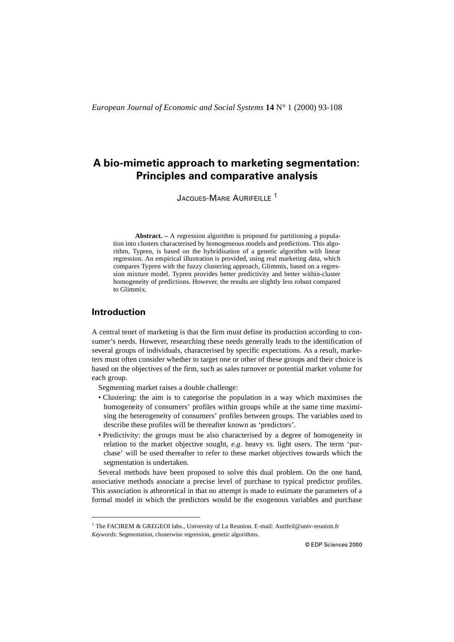# **A bio-mimetic approach to marketing segmentation: Principles and comparative analysis**

JACQUES-MARIE AURIFFILLE<sup>1</sup>

**Abstract. –** A regression algorithm is proposed for partitioning a population into clusters characterised by homogeneous models and predictions. This algorithm, Typren, is based on the hybridisation of a genetic algorithm with linear regression. An empirical illustration is provided, using real marketing data, which compares Typren with the fuzzy clustering approach, Glimmix, based on a regression mixture model. Typren provides better predictivity and better within-cluster homogeneity of predictions. However, the results are slightly less robust compared to Glimmix.

## **Introduction**

A central tenet of marketing is that the firm must define its production according to consumer's needs. However, researching these needs generally leads to the identification of several groups of individuals, characterised by specific expectations. As a result, marketers must often consider whether to target one or other of these groups and their choice is based on the objectives of the firm, such as sales turnover or potential market volume for each group.

Segmenting market raises a double challenge:

- Clustering: the aim is to categorise the population in a way which maximises the homogeneity of consumers' profiles within groups while at the same time maximising the heterogeneity of consumers' profiles between groups. The variables used to describe these profiles will be thereafter known as 'predictors'.
- Predictivity: the groups must be also characterised by a degree of homogeneity in relation to the market objective sought, *e.g*. heavy *vs.* light users. The term 'purchase' will be used thereafter to refer to these market objectives towards which the segmentation is undertaken.

Several methods have been proposed to solve this dual problem. On the one hand, associative methods associate a precise level of purchase to typical predictor profiles. This association is atheoretical in that no attempt is made to estimate the parameters of a formal model in which the predictors would be the exogenous variables and purchase

<sup>&</sup>lt;sup>1</sup> The FACIREM & GREGEOI labs., University of La Reunion. E-mail: Aurifeil@univ-reunion.fr *Keywords*: Segmentation, clusterwise regression, genetic algorithms.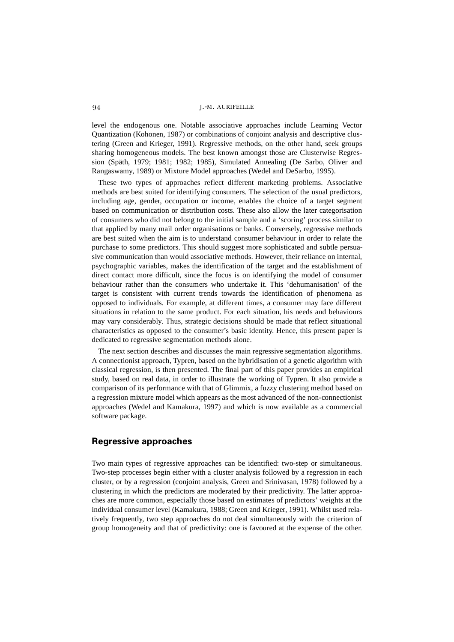level the endogenous one. Notable associative approaches include Learning Vector Quantization (Kohonen, 1987) or combinations of conjoint analysis and descriptive clustering (Green and Krieger, 1991). Regressive methods, on the other hand, seek groups sharing homogeneous models. The best known amongst those are Clusterwise Regression (Späth, 1979; 1981; 1982; 1985), Simulated Annealing (De Sarbo, Oliver and Rangaswamy, 1989) or Mixture Model approaches (Wedel and DeSarbo, 1995).

These two types of approaches reflect different marketing problems. Associative methods are best suited for identifying consumers. The selection of the usual predictors, including age, gender, occupation or income, enables the choice of a target segment based on communication or distribution costs. These also allow the later categorisation of consumers who did not belong to the initial sample and a 'scoring' process similar to that applied by many mail order organisations or banks. Conversely, regressive methods are best suited when the aim is to understand consumer behaviour in order to relate the purchase to some predictors. This should suggest more sophisticated and subtle persuasive communication than would associative methods. However, their reliance on internal, psychographic variables, makes the identification of the target and the establishment of direct contact more difficult, since the focus is on identifying the model of consumer behaviour rather than the consumers who undertake it. This 'dehumanisation' of the target is consistent with current trends towards the identification of phenomena as opposed to individuals. For example, at different times, a consumer may face different situations in relation to the same product. For each situation, his needs and behaviours may vary considerably. Thus, strategic decisions should be made that reflect situational characteristics as opposed to the consumer's basic identity. Hence, this present paper is dedicated to regressive segmentation methods alone.

The next section describes and discusses the main regressive segmentation algorithms. A connectionist approach, Typren, based on the hybridisation of a genetic algorithm with classical regression, is then presented. The final part of this paper provides an empirical study, based on real data, in order to illustrate the working of Typren. It also provide a comparison of its performance with that of Glimmix, a fuzzy clustering method based on a regression mixture model which appears as the most advanced of the non-connectionist approaches (Wedel and Kamakura, 1997) and which is now available as a commercial software package.

## **Regressive approaches**

Two main types of regressive approaches can be identified: two-step or simultaneous. Two-step processes begin either with a cluster analysis followed by a regression in each cluster, or by a regression (conjoint analysis, Green and Srinivasan, 1978) followed by a clustering in which the predictors are moderated by their predictivity. The latter approaches are more common, especially those based on estimates of predictors' weights at the individual consumer level (Kamakura, 1988; Green and Krieger, 1991). Whilst used relatively frequently, two step approaches do not deal simultaneously with the criterion of group homogeneity and that of predictivity: one is favoured at the expense of the other.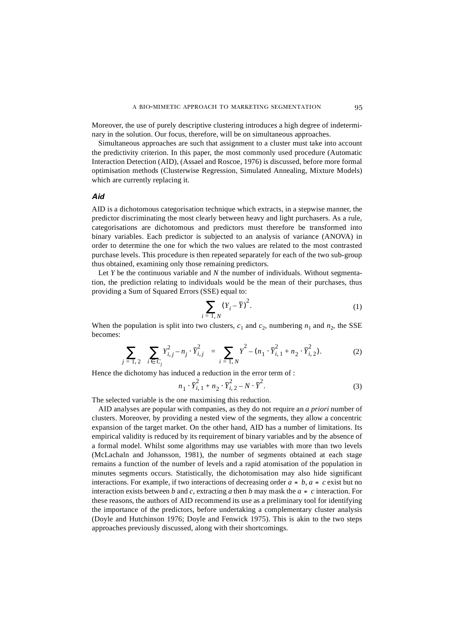Moreover, the use of purely descriptive clustering introduces a high degree of indeterminary in the solution. Our focus, therefore, will be on simultaneous approaches.

Simultaneous approaches are such that assignment to a cluster must take into account the predictivity criterion. In this paper, the most commonly used procedure (Automatic Interaction Detection (AID), (Assael and Roscoe, 1976) is discussed, before more formal optimisation methods (Clusterwise Regression, Simulated Annealing, Mixture Models) which are currently replacing it.

### *Aid*

AID is a dichotomous categorisation technique which extracts, in a stepwise manner, the predictor discriminating the most clearly between heavy and light purchasers. As a rule, categorisations are dichotomous and predictors must therefore be transformed into binary variables. Each predictor is subjected to an analysis of variance (ANOVA) in order to determine the one for which the two values are related to the most contrasted purchase levels. This procedure is then repeated separately for each of the two sub-group thus obtained, examining only those remaining predictors.

Let *Y* be the continuous variable and *N* the number of individuals. Without segmentation, the prediction relating to individuals would be the mean of their purchases, thus providing a Sum of Squared Errors (SSE) equal to:

$$
\sum_{i=1, N} (Y_i - \bar{Y})^2.
$$
 (1)

When the population is split into two clusters,  $c_1$  and  $c_2$ , numbering  $n_1$  and  $n_2$ , the SSE becomes:

$$
\sum_{j=1,2} \left( \sum_{i \in C_j} Y_{i,j}^2 - n_j \cdot \overline{Y}_{i,j}^2 \right) = \sum_{i=1,N} Y^2 - (n_1 \cdot \overline{Y}_{i,1}^2 + n_2 \cdot \overline{Y}_{i,2}^2).
$$
 (2)

Hence the dichotomy has induced a reduction in the error term of :

 $\dot{i}$ 

$$
n_1 \cdot \bar{Y}_{i,1}^2 + n_2 \cdot \bar{Y}_{i,2}^2 - N \cdot \bar{Y}^2.
$$
 (3)

The selected variable is the one maximising this reduction.

AID analyses are popular with companies, as they do not require an *a priori* number of clusters. Moreover, by providing a nested view of the segments, they allow a concentric expansion of the target market. On the other hand, AID has a number of limitations. Its empirical validity is reduced by its requirement of binary variables and by the absence of a formal model. Whilst some algorithms may use variables with more than two levels (McLachaln and Johansson, 1981), the number of segments obtained at each stage remains a function of the number of levels and a rapid atomisation of the population in minutes segments occurs. Statistically, the dichotomisation may also hide significant interactions. For example, if two interactions of decreasing order  $a * b$ ,  $a * c$  exist but no interaction exists between *b* and *c*, extracting *a* then *b* may mask the  $a * c$  interaction. For these reasons, the authors of AID recommend its use as a preliminary tool for identifying the importance of the predictors, before undertaking a complementary cluster analysis (Doyle and Hutchinson 1976; Doyle and Fenwick 1975). This is akin to the two steps approaches previously discussed, along with their shortcomings.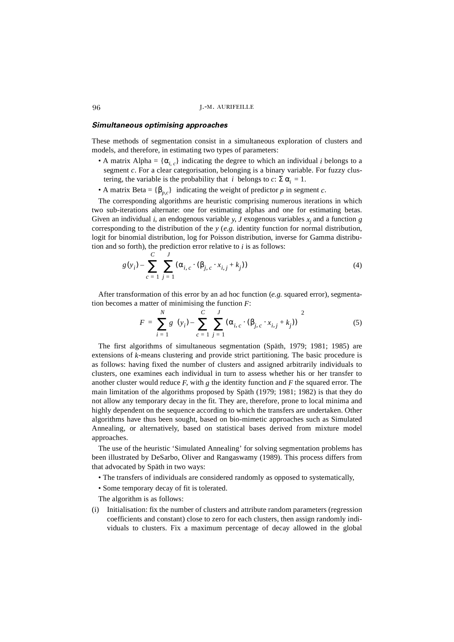### *Simultaneous optimising approaches*

These methods of segmentation consist in a simultaneous exploration of clusters and models, and therefore, in estimating two types of parameters:

- A matrix Alpha =  $\{\alpha_{i,c}\}\$ indicating the degree to which an individual *i* belongs to a segment *c*. For a clear categorisation, belonging is a binary variable. For fuzzy clustering, the variable is the probability that *i* belongs to  $c: \Sigma \alpha_i = 1$ .
- A matrix Beta =  ${\beta_{p,c}}$  indicating the weight of predictor *p* in segment *c*.

The corresponding algorithms are heuristic comprising numerous iterations in which two sub-iterations alternate: one for estimating alphas and one for estimating betas. Given an individual *i*, an endogenous variable *y*, *J* exogenous variables  $x_j$  and a function *g* corresponding to the distribution of the *y* (*e.g.* identity function for normal distribution, logit for binomial distribution, log for Poisson distribution, inverse for Gamma distribution and so forth), the prediction error relative to  $i$  is as follows:

$$
g(y_i) - \sum_{c=1}^{C} \sum_{j=1}^{J} (\alpha_{i, c} \cdot (\beta_{j, c} \cdot x_{i, j} + k_j))
$$
 (4)

After transformation of this error by an ad hoc function (*e.g.* squared error), segmentation becomes a matter of minimising the function *F*:

$$
F = \sum_{i=1}^{N} g \left( (y_i) - \sum_{c=1}^{C} \sum_{j=1}^{J} (\alpha_{i, c} \cdot (\beta_{j, c} \cdot x_{i, j} + k_j)) \right)^2
$$
 (5)

The first algorithms of simultaneous segmentation (Späth, 1979; 1981; 1985) are extensions of *k*-means clustering and provide strict partitioning. The basic procedure is as follows: having fixed the number of clusters and assigned arbitrarily individuals to clusters, one examines each individual in turn to assess whether his or her transfer to another cluster would reduce *F*, with *g* the identity function and *F* the squared error. The main limitation of the algorithms proposed by Späth (1979; 1981; 1982) is that they do not allow any temporary decay in the fit. They are, therefore, prone to local minima and highly dependent on the sequence according to which the transfers are undertaken. Other algorithms have thus been sought, based on bio-mimetic approaches such as Simulated Annealing, or alternatively, based on statistical bases derived from mixture model approaches.

The use of the heuristic 'Simulated Annealing' for solving segmentation problems has been illustrated by DeSarbo, Oliver and Rangaswamy (1989). This process differs from that advocated by Späth in two ways:

- The transfers of individuals are considered randomly as opposed to systematically,
- Some temporary decay of fit is tolerated.

The algorithm is as follows:

(i) Initialisation: fix the number of clusters and attribute random parameters (regression coefficients and constant) close to zero for each clusters, then assign randomly individuals to clusters. Fix a maximum percentage of decay allowed in the global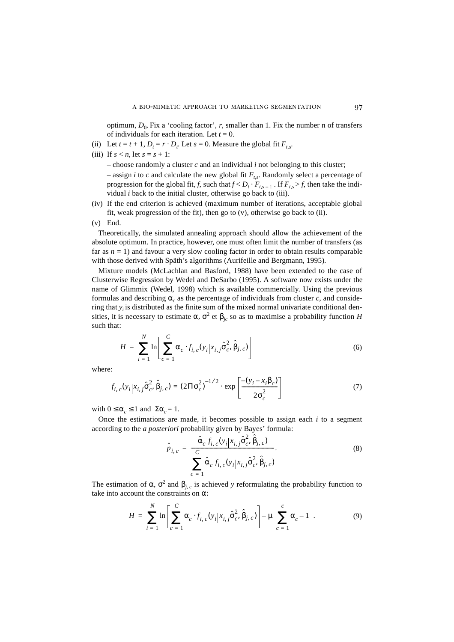optimum,  $D_0$ . Fix a 'cooling factor', *r*, smaller than 1. Fix the number n of transfers of individuals for each iteration. Let  $t = 0$ .

- (ii) Let  $t = t + 1$ ,  $D_t = r \cdot D_t$ . Let  $s = 0$ . Measure the global fit  $F_{t,s}$ .
- (iii) If  $s < n$ , let  $s = s + 1$ :

 $-$  choose randomly a cluster  $c$  and an individual  $i$  not belonging to this cluster;

– assign *i* to *c* and calculate the new global fit  $F_{ts}$ . Randomly select a percentage of progression for the global fit, *f*, such that  $f < D_t \cdot F_{t,s-1}$ . If  $F_{t,s} > f$ , then take the individual *i* back to the initial cluster, otherwise go back to (iii).

- (iv) If the end criterion is achieved (maximum number of iterations, acceptable global fit, weak progression of the fit), then go to (v), otherwise go back to (ii).
- (v) End.

Theoretically, the simulated annealing approach should allow the achievement of the absolute optimum. In practice, however, one must often limit the number of transfers (as far as  $n = 1$ ) and favour a very slow cooling factor in order to obtain results comparable with those derived with Späth's algorithms (Aurifeille and Bergmann, 1995).

Mixture models (McLachlan and Basford, 1988) have been extended to the case of Clusterwise Regression by Wedel and DeSarbo (1995). A software now exists under the name of Glimmix (Wedel, 1998) which is available commercially. Using the previous formulas and describing  $\alpha_c$  as the percentage of individuals from cluster c, and considering that  $y_i$  is distributed as the finite sum of the mixed normal univariate conditional densities, it is necessary to estimate α,  $σ^2$  et  $β_{jc}$  so as to maximise a probability function *H* such that:

$$
H = \sum_{i=1}^{N} \ln \left[ \sum_{c=1}^{C} \alpha_c \cdot f_{i, c}(y_i | x_{i, j} \hat{\sigma}_c^2, \hat{\beta}_{j, c}) \right]
$$
(6)

where:

$$
f_{i, c}(y_i|x_{i, j}\hat{\sigma}_c^2, \hat{\beta}_{j, c}) = (2\Pi \sigma_c^2)^{-1/2} \cdot \exp\left[\frac{-(y_i - x_i\beta_c)}{2\sigma_c^2}\right]
$$
(7)

with  $0 \leq \alpha_c \leq 1$  and  $\Sigma \alpha_c = 1$ .

Once the estimations are made, it becomes possible to assign each *i* to a segment according to the *a posteriori* probability given by Bayes' formula:

$$
\hat{p}_{i,c} = \frac{\hat{\alpha}_c f_{i,c}(y_i | x_{i,j} \hat{\sigma}_c^2, \hat{\beta}_{j,c})}{\sum_{c=1}^{C} \hat{\alpha}_c f_{i,c}(y_i | x_{i,j} \hat{\sigma}_c^2, \hat{\beta}_{j,c})}.
$$
\n(8)

The estimation of  $\alpha$ ,  $\sigma^2$  and  $\beta$ <sub>*j, c*</sub> is achieved *y* reformulating the probability function to take into account the constraints on α:

$$
H = \sum_{i=1}^{N} \ln \left[ \sum_{c=1}^{C} \alpha_c \cdot f_{i, c}(y_i | x_{i, j} \hat{\sigma}_c^2, \hat{\beta}_{j, c}) \right] - \mu \left( \sum_{c=1}^{C} \alpha_c - 1 \right).
$$
 (9)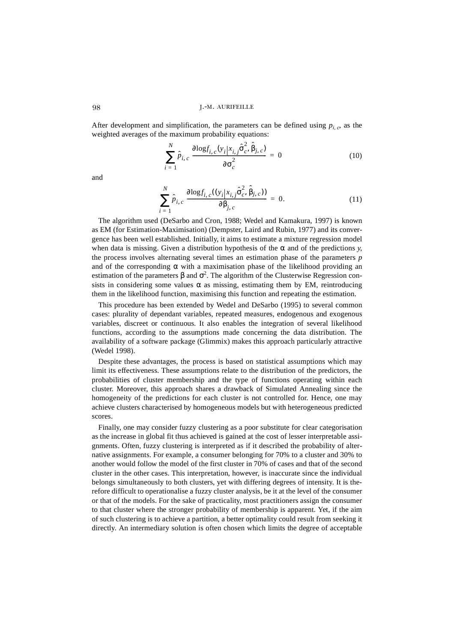After development and simplification, the parameters can be defined using  $p_{i,c}$ , as the weighted averages of the maximum probability equations:

$$
\sum_{i=1}^{N} \hat{p}_{i,c} \frac{\partial \log f_{i,c}(y_i | x_{i,j} \hat{\sigma}_c^2, \hat{\beta}_{j,c})}{\partial \sigma_c^2} = 0
$$
 (10)

and

$$
\sum_{i=1}^{N} \hat{p}_{i,c} \frac{\partial \log f_{i,c}((y_i | x_{i,j} \hat{\sigma}_c^2, \hat{\beta}_{j,c}))}{\partial \beta_{j,c}} = 0.
$$
 (11)

The algorithm used (DeSarbo and Cron, 1988; Wedel and Kamakura, 1997) is known as EM (for Estimation-Maximisation) (Dempster, Laird and Rubin, 1977) and its convergence has been well established. Initially, it aims to estimate a mixture regression model when data is missing. Given a distribution hypothesis of the  $\alpha$  and of the predictions *y*, the process involves alternating several times an estimation phase of the parameters *p* and of the corresponding  $\alpha$  with a maximisation phase of the likelihood providing an estimation of the parameters  $\beta$  and  $\sigma^2$ . The algorithm of the Clusterwise Regression consists in considering some values  $\alpha$  as missing, estimating them by EM, reintroducing them in the likelihood function, maximising this function and repeating the estimation.

This procedure has been extended by Wedel and DeSarbo (1995) to several common cases: plurality of dependant variables, repeated measures, endogenous and exogenous variables, discreet or continuous. It also enables the integration of several likelihood functions, according to the assumptions made concerning the data distribution. The availability of a software package (Glimmix) makes this approach particularly attractive (Wedel 1998).

Despite these advantages, the process is based on statistical assumptions which may limit its effectiveness. These assumptions relate to the distribution of the predictors, the probabilities of cluster membership and the type of functions operating within each cluster. Moreover, this approach shares a drawback of Simulated Annealing since the homogeneity of the predictions for each cluster is not controlled for. Hence, one may achieve clusters characterised by homogeneous models but with heterogeneous predicted scores.

Finally, one may consider fuzzy clustering as a poor substitute for clear categorisation as the increase in global fit thus achieved is gained at the cost of lesser interpretable assignments. Often, fuzzy clustering is interpreted as if it described the probability of alternative assignments. For example, a consumer belonging for 70% to a cluster and 30% to another would follow the model of the first cluster in 70% of cases and that of the second cluster in the other cases. This interpretation, however, is inaccurate since the individual belongs simultaneously to both clusters, yet with differing degrees of intensity. It is therefore difficult to operationalise a fuzzy cluster analysis, be it at the level of the consumer or that of the models. For the sake of practicality, most practitioners assign the consumer to that cluster where the stronger probability of membership is apparent. Yet, if the aim of such clustering is to achieve a partition, a better optimality could result from seeking it directly. An intermediary solution is often chosen which limits the degree of acceptable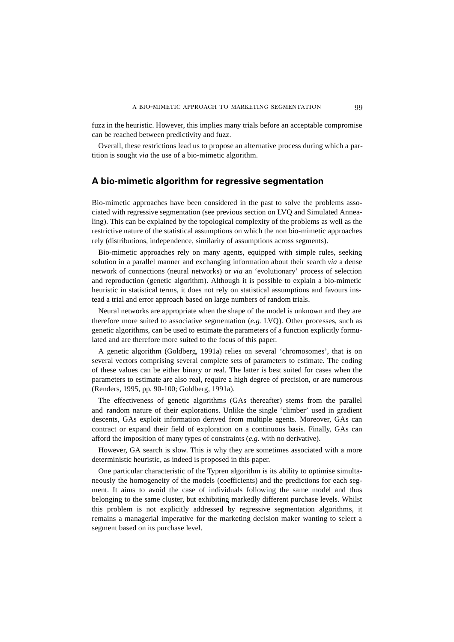fuzz in the heuristic. However, this implies many trials before an acceptable compromise can be reached between predictivity and fuzz.

Overall, these restrictions lead us to propose an alternative process during which a partition is sought *via* the use of a bio-mimetic algorithm.

### **A bio-mimetic algorithm for regressive segmentation**

Bio-mimetic approaches have been considered in the past to solve the problems associated with regressive segmentation (see previous section on LVQ and Simulated Annealing). This can be explained by the topological complexity of the problems as well as the restrictive nature of the statistical assumptions on which the non bio-mimetic approaches rely (distributions, independence, similarity of assumptions across segments).

Bio-mimetic approaches rely on many agents, equipped with simple rules, seeking solution in a parallel manner and exchanging information about their search *via* a dense network of connections (neural networks) or *via* an 'evolutionary' process of selection and reproduction (genetic algorithm). Although it is possible to explain a bio-mimetic heuristic in statistical terms, it does not rely on statistical assumptions and favours instead a trial and error approach based on large numbers of random trials.

Neural networks are appropriate when the shape of the model is unknown and they are therefore more suited to associative segmentation (*e.g.* LVQ). Other processes, such as genetic algorithms, can be used to estimate the parameters of a function explicitly formulated and are therefore more suited to the focus of this paper.

A genetic algorithm (Goldberg, 1991a) relies on several 'chromosomes', that is on several vectors comprising several complete sets of parameters to estimate. The coding of these values can be either binary or real. The latter is best suited for cases when the parameters to estimate are also real, require a high degree of precision, or are numerous (Renders, 1995, pp. 90-100; Goldberg, 1991a).

The effectiveness of genetic algorithms (GAs thereafter) stems from the parallel and random nature of their explorations. Unlike the single 'climber' used in gradient descents, GAs exploit information derived from multiple agents. Moreover, GAs can contract or expand their field of exploration on a continuous basis. Finally, GAs can afford the imposition of many types of constraints (*e.g*. with no derivative).

However, GA search is slow. This is why they are sometimes associated with a more deterministic heuristic, as indeed is proposed in this paper.

One particular characteristic of the Typren algorithm is its ability to optimise simultaneously the homogeneity of the models (coefficients) and the predictions for each segment. It aims to avoid the case of individuals following the same model and thus belonging to the same cluster, but exhibiting markedly different purchase levels. Whilst this problem is not explicitly addressed by regressive segmentation algorithms, it remains a managerial imperative for the marketing decision maker wanting to select a segment based on its purchase level.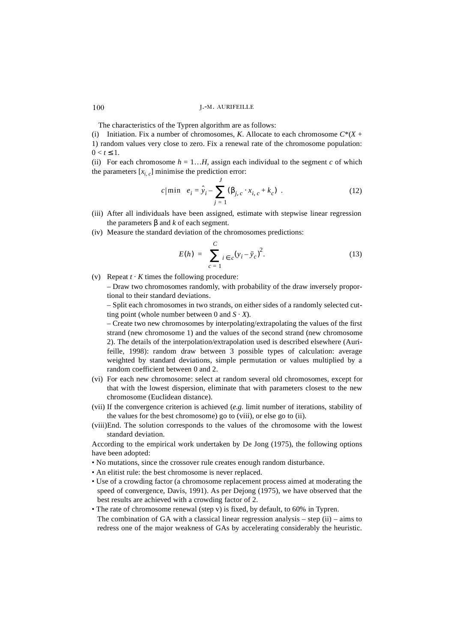The characteristics of the Typren algorithm are as follows:

(i) Initiation. Fix a number of chromosomes, *K*. Allocate to each chromosome  $C^*(X +$ 1) random values very close to zero. Fix a renewal rate of the chromosome population:  $0 < t \leq 1$ .

(ii) For each chromosome  $h = 1...H$ , assign each individual to the segment *c* of which the parameters  $[x_{i,c}]$  minimise the prediction error:

$$
c|\min\bigg(e_i = \hat{y}_i - \sum_{j=1}^J (\beta_{j,c} \cdot x_{i,c} + k_c)\bigg).
$$
 (12)

- (iii) After all individuals have been assigned, estimate with stepwise linear regression the parameters β and *k* of each segment.
- (iv) Measure the standard deviation of the chromosomes predictions:

$$
E(h) = \sum_{c=1}^{C} i \epsilon_c (y_i - \bar{y}_c)^2.
$$
 (13)

(v) Repeat  $t \cdot K$  times the following procedure:

– Draw two chromosomes randomly, with probability of the draw inversely proportional to their standard deviations.

– Split each chromosomes in two strands, on either sides of a randomly selected cutting point (whole number between 0 and  $S \cdot X$ ).

– Create two new chromosomes by interpolating/extrapolating the values of the first strand (new chromosome 1) and the values of the second strand (new chromosome 2). The details of the interpolation/extrapolation used is described elsewhere (Aurifeille, 1998): random draw between 3 possible types of calculation: average weighted by standard deviations, simple permutation or values multiplied by a random coefficient between 0 and 2.

- (vi) For each new chromosome: select at random several old chromosomes, except for that with the lowest dispersion, eliminate that with parameters closest to the new chromosome (Euclidean distance).
- (vii) If the convergence criterion is achieved (*e.g.* limit number of iterations, stability of the values for the best chromosome) go to (viii), or else go to (ii).
- (viii)End. The solution corresponds to the values of the chromosome with the lowest standard deviation.

According to the empirical work undertaken by De Jong (1975), the following options have been adopted:

- No mutations, since the crossover rule creates enough random disturbance.
- An elitist rule: the best chromosome is never replaced.
- Use of a crowding factor (a chromosome replacement process aimed at moderating the speed of convergence, Davis, 1991). As per Dejong (1975), we have observed that the best results are achieved with a crowding factor of 2.
- The rate of chromosome renewal (step v) is fixed, by default, to 60% in Typren. The combination of GA with a classical linear regression analysis – step (ii) – aims to redress one of the major weakness of GAs by accelerating considerably the heuristic.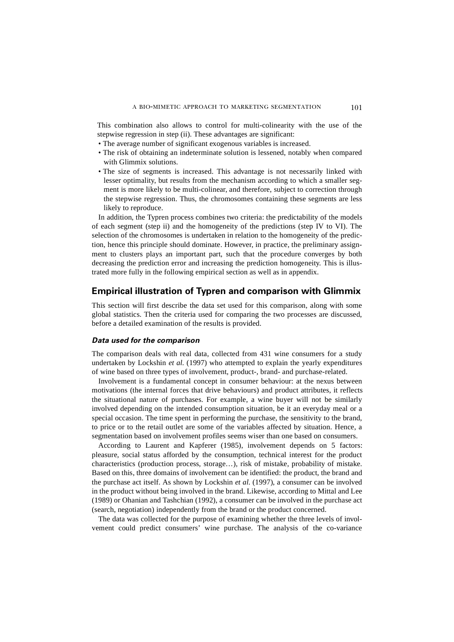This combination also allows to control for multi-colinearity with the use of the stepwise regression in step (ii). These advantages are significant:

- The average number of significant exogenous variables is increased.
- The risk of obtaining an indeterminate solution is lessened, notably when compared with Glimmix solutions.
- The size of segments is increased. This advantage is not necessarily linked with lesser optimality, but results from the mechanism according to which a smaller segment is more likely to be multi-colinear, and therefore, subject to correction through the stepwise regression. Thus, the chromosomes containing these segments are less likely to reproduce.

In addition, the Typren process combines two criteria: the predictability of the models of each segment (step ii) and the homogeneity of the predictions (step IV to VI). The selection of the chromosomes is undertaken in relation to the homogeneity of the prediction, hence this principle should dominate. However, in practice, the preliminary assignment to clusters plays an important part, such that the procedure converges by both decreasing the prediction error and increasing the prediction homogeneity. This is illustrated more fully in the following empirical section as well as in appendix.

### **Empirical illustration of Typren and comparison with Glimmix**

This section will first describe the data set used for this comparison, along with some global statistics. Then the criteria used for comparing the two processes are discussed, before a detailed examination of the results is provided.

### *Data used for the comparison*

The comparison deals with real data, collected from 431 wine consumers for a study undertaken by Lockshin *et al.* (1997) who attempted to explain the yearly expenditures of wine based on three types of involvement, product-, brand- and purchase-related.

Involvement is a fundamental concept in consumer behaviour: at the nexus between motivations (the internal forces that drive behaviours) and product attributes, it reflects the situational nature of purchases. For example, a wine buyer will not be similarly involved depending on the intended consumption situation, be it an everyday meal or a special occasion. The time spent in performing the purchase, the sensitivity to the brand, to price or to the retail outlet are some of the variables affected by situation. Hence, a segmentation based on involvement profiles seems wiser than one based on consumers.

According to Laurent and Kapferer (1985), involvement depends on 5 factors: pleasure, social status afforded by the consumption, technical interest for the product characteristics (production process, storage…), risk of mistake, probability of mistake. Based on this, three domains of involvement can be identified: the product, the brand and the purchase act itself. As shown by Lockshin *et al.* (1997), a consumer can be involved in the product without being involved in the brand. Likewise, according to Mittal and Lee (1989) or Ohanian and Tashchian (1992), a consumer can be involved in the purchase act (search, negotiation) independently from the brand or the product concerned.

The data was collected for the purpose of examining whether the three levels of involvement could predict consumers' wine purchase. The analysis of the co-variance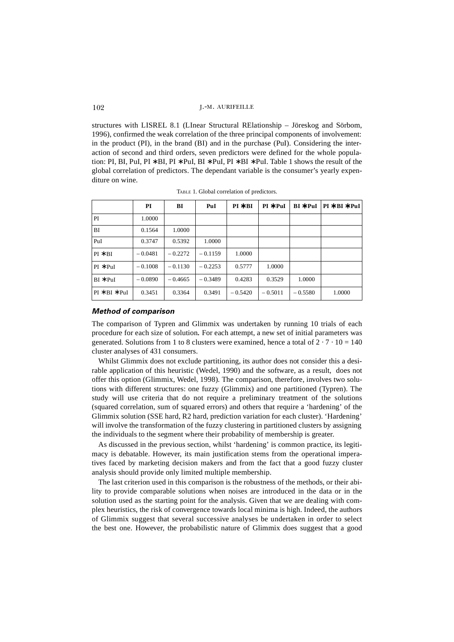structures with LISREL 8.1 (LInear Structural RElationship – Jöreskog and Sörbom, 1996), confirmed the weak correlation of the three principal components of involvement: in the product (PI), in the brand (BI) and in the purchase (PuI). Considering the interaction of second and third orders, seven predictors were defined for the whole population: PI, BI, PuI, PI ∗ BI, PI ∗ PuI, BI ∗ PuI, PI ∗ BI ∗ PuI. Table 1 shows the result of the global correlation of predictors. The dependant variable is the consumer's yearly expenditure on wine.

|                 | PI        | BI        | PuI       | $PI * BI$ | $PI * PuI$ | $BI * PuI$ | $PI * BI * PuI$ |
|-----------------|-----------|-----------|-----------|-----------|------------|------------|-----------------|
| PI              | 1.0000    |           |           |           |            |            |                 |
| BI              | 0.1564    | 1.0000    |           |           |            |            |                 |
| PuI             | 0.3747    | 0.5392    | 1.0000    |           |            |            |                 |
| $PI * BI$       | $-0.0481$ | $-0.2272$ | $-0.1159$ | 1.0000    |            |            |                 |
| $PI * PuI$      | $-0.1008$ | $-0.1130$ | $-0.2253$ | 0.5777    | 1.0000     |            |                 |
| $BI * PuI$      | $-0.0890$ | $-0.4665$ | $-0.3489$ | 0.4283    | 0.3529     | 1.0000     |                 |
| $PI * BI * PuI$ | 0.3451    | 0.3364    | 0.3491    | $-0.5420$ | $-0.5011$  | $-0.5580$  | 1.0000          |

TABLE 1. Global correlation of predictors.

### *Method of comparison*

The comparison of Typren and Glimmix was undertaken by running 10 trials of each procedure for each size of solution. For each attempt, a new set of initial parameters was generated. Solutions from 1 to 8 clusters were examined, hence a total of  $2 \cdot 7 \cdot 10 = 140$ cluster analyses of 431 consumers.

Whilst Glimmix does not exclude partitioning, its author does not consider this a desirable application of this heuristic (Wedel, 1990) and the software, as a result, does not offer this option (Glimmix, Wedel, 1998). The comparison, therefore, involves two solutions with different structures: one fuzzy (Glimmix) and one partitioned (Typren). The study will use criteria that do not require a preliminary treatment of the solutions (squared correlation, sum of squared errors) and others that require a 'hardening' of the Glimmix solution (SSE hard, R2 hard, prediction variation for each cluster). 'Hardening' will involve the transformation of the fuzzy clustering in partitioned clusters by assigning the individuals to the segment where their probability of membership is greater.

As discussed in the previous section, whilst 'hardening' is common practice, its legitimacy is debatable. However, its main justification stems from the operational imperatives faced by marketing decision makers and from the fact that a good fuzzy cluster analysis should provide only limited multiple membership.

The last criterion used in this comparison is the robustness of the methods, or their ability to provide comparable solutions when noises are introduced in the data or in the solution used as the starting point for the analysis. Given that we are dealing with complex heuristics, the risk of convergence towards local minima is high. Indeed, the authors of Glimmix suggest that several successive analyses be undertaken in order to select the best one. However, the probabilistic nature of Glimmix does suggest that a good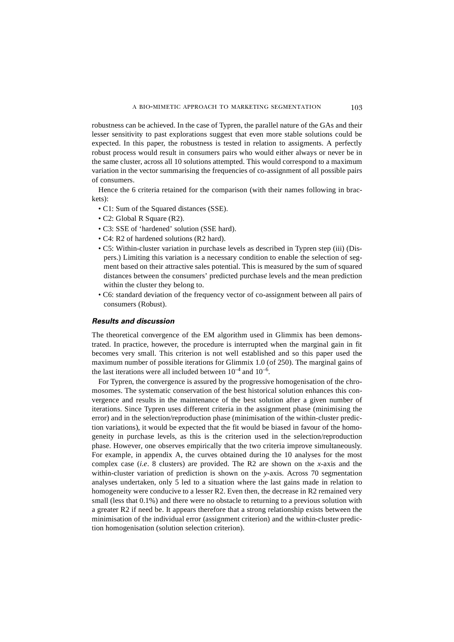robustness can be achieved. In the case of Typren, the parallel nature of the GAs and their lesser sensitivity to past explorations suggest that even more stable solutions could be expected. In this paper, the robustness is tested in relation to assigments. A perfectly robust process would result in consumers pairs who would either always or never be in the same cluster, across all 10 solutions attempted. This would correspond to a maximum variation in the vector summarising the frequencies of co-assignment of all possible pairs of consumers.

Hence the 6 criteria retained for the comparison (with their names following in brackets):

- C1: Sum of the Squared distances (SSE).
- C2: Global R Square (R2).
- C3: SSE of 'hardened' solution (SSE hard).
- C4: R2 of hardened solutions (R2 hard).
- C5: Within-cluster variation in purchase levels as described in Typren step (iii) (Dispers.) Limiting this variation is a necessary condition to enable the selection of segment based on their attractive sales potential. This is measured by the sum of squared distances between the consumers' predicted purchase levels and the mean prediction within the cluster they belong to.
- C6: standard deviation of the frequency vector of co-assignment between all pairs of consumers (Robust).

### *Results and discussion*

The theoretical convergence of the EM algorithm used in Glimmix has been demonstrated. In practice, however, the procedure is interrupted when the marginal gain in fit becomes very small. This criterion is not well established and so this paper used the maximum number of possible iterations for Glimmix 1.0 (of 250). The marginal gains of the last iterations were all included between  $10^{-4}$  and  $10^{-6}$ .

For Typren, the convergence is assured by the progressive homogenisation of the chromosomes. The systematic conservation of the best historical solution enhances this convergence and results in the maintenance of the best solution after a given number of iterations. Since Typren uses different criteria in the assignment phase (minimising the error) and in the selection/reproduction phase (minimisation of the within-cluster prediction variations), it would be expected that the fit would be biased in favour of the homogeneity in purchase levels, as this is the criterion used in the selection/reproduction phase. However, one observes empirically that the two criteria improve simultaneously. For example, in appendix A, the curves obtained during the 10 analyses for the most complex case (*i.e*. 8 clusters) are provided. The R2 are shown on the *x*-axis and the within-cluster variation of prediction is shown on the *y*-axis. Across 70 segmentation analyses undertaken, only 5 led to a situation where the last gains made in relation to homogeneity were conducive to a lesser R2. Even then, the decrease in R2 remained very small (less that 0.1%) and there were no obstacle to returning to a previous solution with a greater R2 if need be. It appears therefore that a strong relationship exists between the minimisation of the individual error (assignment criterion) and the within-cluster prediction homogenisation (solution selection criterion).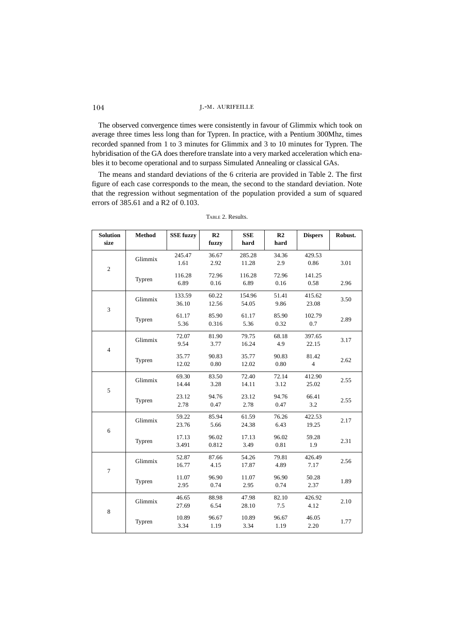The observed convergence times were consistently in favour of Glimmix which took on average three times less long than for Typren. In practice, with a Pentium 300Mhz, times recorded spanned from 1 to 3 minutes for Glimmix and 3 to 10 minutes for Typren. The hybridisation of the GA does therefore translate into a very marked acceleration which enables it to become operational and to surpass Simulated Annealing or classical GAs.

The means and standard deviations of the 6 criteria are provided in Table 2. The first figure of each case corresponds to the mean, the second to the standard deviation. Note that the regression without segmentation of the population provided a sum of squared errors of 385.61 and a R2 of 0.103.

| <b>Solution</b><br>size | Method  | <b>SSE</b> fuzzy | R <sub>2</sub><br>fuzzy | <b>SSE</b><br>hard | R <sub>2</sub><br>hard | <b>Dispers</b>          | Robust. |
|-------------------------|---------|------------------|-------------------------|--------------------|------------------------|-------------------------|---------|
| $\overline{c}$          | Glimmix | 245.47<br>1.61   | 36.67<br>2.92           | 285.28<br>11.28    | 34.36<br>2.9           | 429.53<br>0.86          | 3.01    |
|                         | Typren  | 116.28<br>6.89   | 72.96<br>0.16           | 116.28<br>6.89     | 72.96<br>0.16          | 141.25<br>0.58          | 2.96    |
| 3                       | Glimmix | 133.59<br>36.10  | 60.22<br>12.56          | 154.96<br>54.05    | 51.41<br>9.86          | 415.62<br>23.08         | 3.50    |
|                         | Typren  | 61.17<br>5.36    | 85.90<br>0.316          | 61.17<br>5.36      | 85.90<br>0.32          | 102.79<br>0.7           | 2.89    |
| $\overline{4}$          | Glimmix | 72.07<br>9.54    | 81.90<br>3.77           | 79.75<br>16.24     | 68.18<br>4.9           | 397.65<br>22.15         | 3.17    |
|                         | Typren  | 35.77<br>12.02   | 90.83<br>0.80           | 35.77<br>12.02     | 90.83<br>0.80          | 81.42<br>$\overline{4}$ | 2.62    |
| 5                       | Glimmix | 69.30<br>14.44   | 83.50<br>3.28           | 72.40<br>14.11     | 72.14<br>3.12          | 412.90<br>25.02         | 2.55    |
|                         | Typren  | 23.12<br>2.78    | 94.76<br>0.47           | 23.12<br>2.78      | 94.76<br>0.47          | 66.41<br>3.2            | 2.55    |
| 6                       | Glimmix | 59.22<br>23.76   | 85.94<br>5.66           | 61.59<br>24.38     | 76.26<br>6.43          | 422.53<br>19.25         | 2.17    |
|                         | Typren  | 17.13<br>3.491   | 96.02<br>0.812          | 17.13<br>3.49      | 96.02<br>0.81          | 59.28<br>1.9            | 2.31    |
| $\overline{7}$          | Glimmix | 52.87<br>16.77   | 87.66<br>4.15           | 54.26<br>17.87     | 79.81<br>4.89          | 426.49<br>7.17          | 2.56    |
|                         | Typren  | 11.07<br>2.95    | 96.90<br>0.74           | 11.07<br>2.95      | 96.90<br>0.74          | 50.28<br>2.37           | 1.89    |
| 8                       | Glimmix | 46.65<br>27.69   | 88.98<br>6.54           | 47.98<br>28.10     | 82.10<br>7.5           | 426.92<br>4.12          | 2.10    |
|                         | Typren  | 10.89<br>3.34    | 96.67<br>1.19           | 10.89<br>3.34      | 96.67<br>1.19          | 46.05<br>2.20           | 1.77    |

TABLE 2. Results.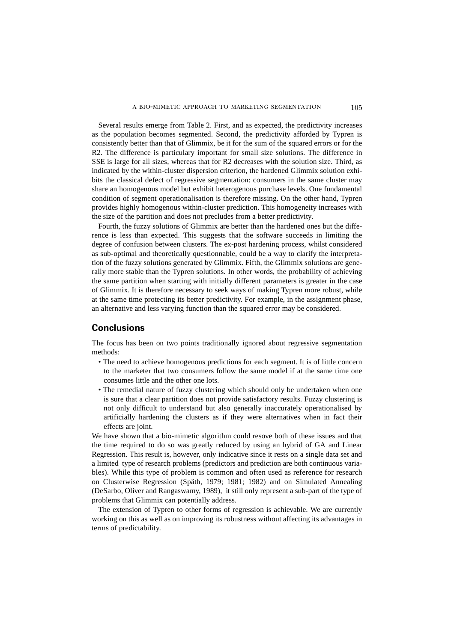Several results emerge from Table 2. First, and as expected, the predictivity increases as the population becomes segmented. Second, the predictivity afforded by Typren is consistently better than that of Glimmix, be it for the sum of the squared errors or for the R2. The difference is particulary important for small size solutions. The difference in SSE is large for all sizes, whereas that for R2 decreases with the solution size. Third, as indicated by the within-cluster dispersion criterion, the hardened Glimmix solution exhibits the classical defect of regressive segmentation: consumers in the same cluster may share an homogenous model but exhibit heterogenous purchase levels. One fundamental condition of segment operationalisation is therefore missing. On the other hand, Typren provides highly homogenous within-cluster prediction. This homogeneity increases with the size of the partition and does not precludes from a better predictivity.

Fourth, the fuzzy solutions of Glimmix are better than the hardened ones but the difference is less than expected. This suggests that the software succeeds in limiting the degree of confusion between clusters. The ex-post hardening process, whilst considered as sub-optimal and theoretically questionnable, could be a way to clarify the interpretation of the fuzzy solutions generated by Glimmix. Fifth, the Glimmix solutions are generally more stable than the Typren solutions. In other words, the probability of achieving the same partition when starting with initially different parameters is greater in the case of Glimmix. It is therefore necessary to seek ways of making Typren more robust, while at the same time protecting its better predictivity. For example, in the assignment phase, an alternative and less varying function than the squared error may be considered.

### **Conclusions**

The focus has been on two points traditionally ignored about regressive segmentation methods:

- The need to achieve homogenous predictions for each segment. It is of little concern to the marketer that two consumers follow the same model if at the same time one consumes little and the other one lots.
- The remedial nature of fuzzy clustering which should only be undertaken when one is sure that a clear partition does not provide satisfactory results. Fuzzy clustering is not only difficult to understand but also generally inaccurately operationalised by artificially hardening the clusters as if they were alternatives when in fact their effects are joint.

We have shown that a bio-mimetic algorithm could resove both of these issues and that the time required to do so was greatly reduced by using an hybrid of GA and Linear Regression. This result is, however, only indicative since it rests on a single data set and a limited type of research problems (predictors and prediction are both continuous variables). While this type of problem is common and often used as reference for research on Clusterwise Regression (Späth, 1979; 1981; 1982) and on Simulated Annealing (DeSarbo, Oliver and Rangaswamy, 1989), it still only represent a sub-part of the type of problems that Glimmix can potentially address.

The extension of Typren to other forms of regression is achievable. We are currently working on this as well as on improving its robustness without affecting its advantages in terms of predictability.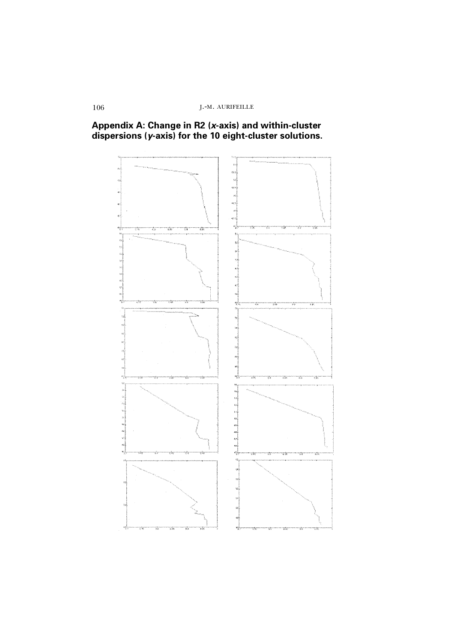

# **Appendix A: Change in R2 (***x***-axis) and within-cluster dispersions (***y***-axis) for the 10 eight-cluster solutions.**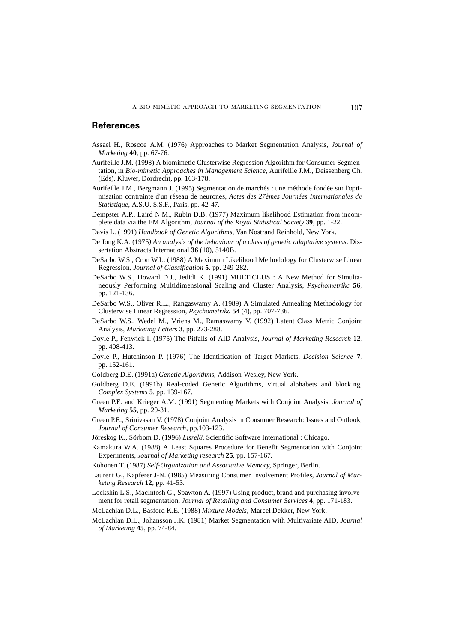## **References**

- Assael H., Roscoe A.M. (1976) Approaches to Market Segmentation Analysis, *Journal of Marketing* **40**, pp. 67-76.
- Aurifeille J.M. (1998) A biomimetic Clusterwise Regression Algorithm for Consumer Segmentation, in *Bio-mimetic Approaches in Management Science*, Aurifeille J.M., Deissenberg Ch. (Eds), Kluwer, Dordrecht, pp. 163-178.
- Aurifeille J.M., Bergmann J. (1995) Segmentation de marchés : une méthode fondée sur l'optimisation contrainte d'un réseau de neurones, *Actes des 27èmes Journées Internationales de Statistique*, A.S.U. S.S.F., Paris, pp. 42-47.
- Dempster A.P., Laird N.M., Rubin D.B. (1977) Maximum likelihood Estimation from incomplete data via the EM Algorithm, *Journal of the Royal Statistical Society* **39**, pp. 1-22.
- Davis L. (1991) *Handbook of Genetic Algorithms*, Van Nostrand Reinhold, New York.
- De Jong K.A. (1975*) An analysis of the behaviour of a class of genetic adaptative systems*. Dissertation Abstracts International **36** (10), 5140B.
- DeSarbo W.S., Cron W.L. (1988) A Maximum Likelihood Methodology for Clusterwise Linear Regression, *Journal of Classification* **5**, pp. 249-282.
- DeSarbo W.S., Howard D.J., Jedidi K. (1991) MULTICLUS : A New Method for Simultaneously Performing Multidimensional Scaling and Cluster Analysis, *Psychometrika* **56**, pp. 121-136.
- DeSarbo W.S., Oliver R.L., Rangaswamy A. (1989) A Simulated Annealing Methodology for Clusterwise Linear Regression, *Psychometrika* **54** (4), pp. 707-736.
- DeSarbo W.S., Wedel M., Vriens M., Ramaswamy V. (1992) Latent Class Metric Conjoint Analysis, *Marketing Letters* **3**, pp. 273-288.
- Doyle P., Fenwick I. (1975) The Pitfalls of AID Analysis, *Journal of Marketing Research* **12**, pp. 408-413.
- Doyle P., Hutchinson P. (1976) The Identification of Target Markets, *Decision Science* **7**, pp. 152-161.
- Goldberg D.E. (1991a) *Genetic Algorithms*, Addison-Wesley, New York.
- Goldberg D.E. (1991b) Real-coded Genetic Algorithms, virtual alphabets and blocking, *Complex Systems* **5**, pp. 139-167.
- Green P.E. and Krieger A.M. (1991) Segmenting Markets with Conjoint Analysis. *Journal of Marketing* **55**, pp. 20-31.
- Green P.E., Srinivasan V. (1978) Conjoint Analysis in Consumer Research: Issues and Outlook, *Journal of Consumer Research*, pp.103-123.
- Jöreskog K., Sörbom D. (1996) *Lisrel8*, Scientific Software International : Chicago.
- Kamakura W.A. (1988) A Least Squares Procedure for Benefit Segmentation with Conjoint Experiments, *Journal of Marketing research* **25**, pp. 157-167.
- Kohonen T. (1987) *Self-Organization and Associative Memory*, Springer, Berlin.
- Laurent G., Kapferer J-N. (1985) Measuring Consumer Involvement Profiles*, Journal of Marketing Research* **12**, pp. 41-53.
- Lockshin L.S., MacIntosh G., Spawton A. (1997) Using product, brand and purchasing involvement for retail segmentation, *Journal of Retailing and Consumer Services* **4**, pp. 171-183.
- McLachlan D.L., Basford K.E. (1988) *Mixture Models*, Marcel Dekker, New York.
- McLachlan D.L., Johansson J.K. (1981) Market Segmentation with Multivariate AID*, Journal of Marketing* **45**, pp. 74-84.